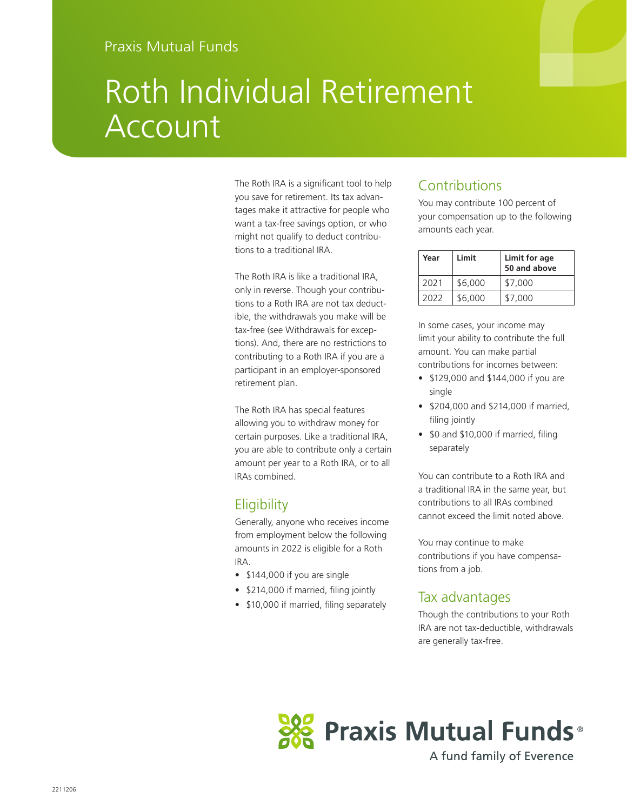# Roth Individual Retirement Account

The Roth IRA is a significant tool to help you save for retirement. Its tax advantages make it attractive for people who want a tax-free savings option, or who might not qualify to deduct contributions to a traditional IRA.

The Roth IRA is like a traditional IRA, only in reverse. Though your contributions to a Roth IRA are not tax deductible, the withdrawals you make will be tax-free (see Withdrawals for exceptions). And, there are no restrictions to contributing to a Roth IRA if you are a participant in an employer-sponsored retirement plan.

The Roth IRA has special features allowing you to withdraw money for certain purposes. Like a traditional IRA, you are able to contribute only a certain amount per year to a Roth IRA, or to all IRAs combined.

### **Eligibility**

Generally, anyone who receives income from employment below the following amounts in 2022 is eligible for a Roth IRA.

- \$144,000 if you are single
- \$214,000 if married, filing jointly
- \$10,000 if married, filing separately

## Contributions

You may contribute 100 percent of your compensation up to the following amounts each year.

| Year | Limit   | Limit for age<br>50 and above |
|------|---------|-------------------------------|
| 2021 | \$6,000 | \$7,000                       |
| 2022 | \$6,000 | \$7,000                       |

In some cases, your income may limit your ability to contribute the full amount. You can make partial contributions for incomes between:

- \$129,000 and \$144,000 if you are single
- \$204,000 and \$214,000 if married, filing jointly
- \$0 and \$10,000 if married, filing separately

You can contribute to a Roth IRA and a traditional IRA in the same year, but contributions to all IRAs combined cannot exceed the limit noted above.

You may continue to make contributions if you have compensations from a job.

#### Tax advantages

Though the contributions to your Roth IRA are not tax-deductible, withdrawals are generally tax-free.



A fund family of Everence